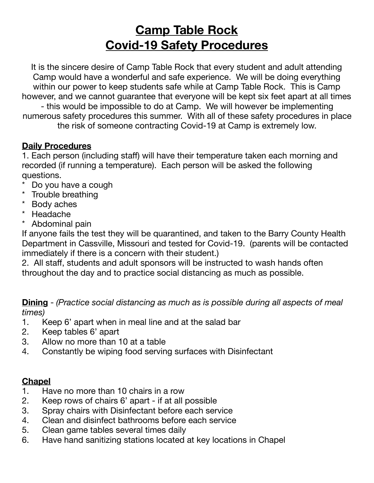# **Camp Table Rock Covid-19 Safety Procedures**

It is the sincere desire of Camp Table Rock that every student and adult attending Camp would have a wonderful and safe experience. We will be doing everything within our power to keep students safe while at Camp Table Rock. This is Camp however, and we cannot guarantee that everyone will be kept six feet apart at all times - this would be impossible to do at Camp. We will however be implementing numerous safety procedures this summer. With all of these safety procedures in place the risk of someone contracting Covid-19 at Camp is extremely low.

#### **Daily Procedures**

1. Each person (including staff) will have their temperature taken each morning and recorded (if running a temperature). Each person will be asked the following questions.

- Do you have a cough
- \* Trouble breathing
- \* Body aches
- \* Headache
- \* Abdominal pain

If anyone fails the test they will be quarantined, and taken to the Barry County Health Department in Cassville, Missouri and tested for Covid-19. (parents will be contacted immediately if there is a concern with their student.)

2. All staff, students and adult sponsors will be instructed to wash hands often throughout the day and to practice social distancing as much as possible.

**Dining** - *(Practice social distancing as much as is possible during all aspects of meal times)* 

- 1. Keep 6' apart when in meal line and at the salad bar
- 2. Keep tables 6' apart
- 3. Allow no more than 10 at a table
- 4. Constantly be wiping food serving surfaces with Disinfectant

# **Chapel**

- 1. Have no more than 10 chairs in a row
- 2. Keep rows of chairs 6' apart if at all possible
- 3. Spray chairs with Disinfectant before each service
- 4. Clean and disinfect bathrooms before each service
- 5. Clean game tables several times daily
- 6. Have hand sanitizing stations located at key locations in Chapel